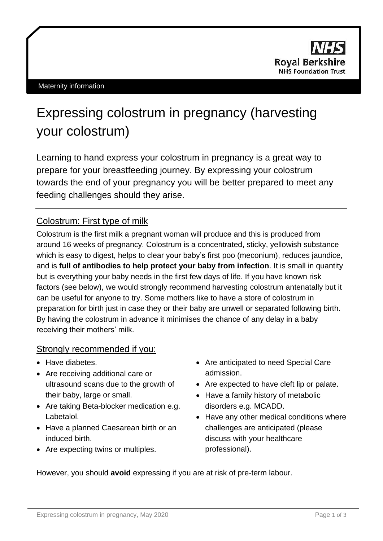

# Expressing colostrum in pregnancy (harvesting your colostrum)

Learning to hand express your colostrum in pregnancy is a great way to prepare for your breastfeeding journey. By expressing your colostrum towards the end of your pregnancy you will be better prepared to meet any feeding challenges should they arise.

## Colostrum: First type of milk

Colostrum is the first milk a pregnant woman will produce and this is produced from around 16 weeks of pregnancy. Colostrum is a concentrated, sticky, yellowish substance which is easy to digest, helps to clear your baby's first poo (meconium), reduces jaundice, and is **full of antibodies to help protect your baby from infection**. It is small in quantity but is everything your baby needs in the first few days of life. If you have known risk factors (see below), we would strongly recommend harvesting colostrum antenatally but it can be useful for anyone to try. Some mothers like to have a store of colostrum in preparation for birth just in case they or their baby are unwell or separated following birth. By having the colostrum in advance it minimises the chance of any delay in a baby receiving their mothers' milk.

## Strongly recommended if you:

- Have diabetes.
- Are receiving additional care or ultrasound scans due to the growth of their baby, large or small.
- Are taking Beta-blocker medication e.g. Labetalol.
- Have a planned Caesarean birth or an induced birth.
- Are expecting twins or multiples.
- Are anticipated to need Special Care admission.
- Are expected to have cleft lip or palate.
- Have a family history of metabolic disorders e.g. MCADD.
- Have any other medical conditions where challenges are anticipated (please discuss with your healthcare professional).

However, you should **avoid** expressing if you are at risk of pre-term labour.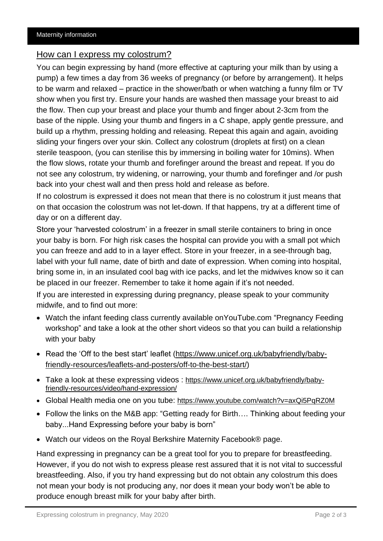#### How can I express my colostrum?

You can begin expressing by hand (more effective at capturing your milk than by using a pump) a few times a day from 36 weeks of pregnancy (or before by arrangement). It helps to be warm and relaxed – practice in the shower/bath or when watching a funny film or TV show when you first try. Ensure your hands are washed then massage your breast to aid the flow. Then cup your breast and place your thumb and finger about 2-3cm from the base of the nipple. Using your thumb and fingers in a C shape, apply gentle pressure, and build up a rhythm, pressing holding and releasing. Repeat this again and again, avoiding sliding your fingers over your skin. Collect any colostrum (droplets at first) on a clean sterile teaspoon, (you can sterilise this by immersing in boiling water for 10mins). When the flow slows, rotate your thumb and forefinger around the breast and repeat. If you do not see any colostrum, try widening, or narrowing, your thumb and forefinger and /or push back into your chest wall and then press hold and release as before.

If no colostrum is expressed it does not mean that there is no colostrum it just means that on that occasion the colostrum was not let-down. If that happens, try at a different time of day or on a different day.

Store your 'harvested colostrum' in a freezer in small sterile containers to bring in once your baby is born. For high risk cases the hospital can provide you with a small pot which you can freeze and add to in a layer effect. Store in your freezer, in a see-through bag, label with your full name, date of birth and date of expression. When coming into hospital, bring some in, in an insulated cool bag with ice packs, and let the midwives know so it can be placed in our freezer. Remember to take it home again if it's not needed.

If you are interested in expressing during pregnancy, please speak to your community midwife, and to find out more:

- Watch the infant feeding class currently available onYouTube.com "Pregnancy Feeding workshop" and take a look at the other short videos so that you can build a relationship with your baby
- Read the 'Off to the best start' leaflet [\(https://www.unicef.org.uk/babyfriendly/baby](https://www.unicef.org.uk/babyfriendly/baby-friendly-resources/leaflets-and-posters/off-to-the-best-start/)[friendly-resources/leaflets-and-posters/off-to-the-best-start/\)](https://www.unicef.org.uk/babyfriendly/baby-friendly-resources/leaflets-and-posters/off-to-the-best-start/)
- Take a look at these expressing videos : [https://www.unicef.org.uk/babyfriendly/baby](https://www.unicef.org.uk/babyfriendly/baby-friendly-resources/video/hand-expression/)[friendly-resources/video/hand-expression/](https://www.unicef.org.uk/babyfriendly/baby-friendly-resources/video/hand-expression/)
- Global Health media one on you tube: <https://www.youtube.com/watch?v=axQi5PqRZ0M>
- Follow the links on the M&B app: "Getting ready for Birth…. Thinking about feeding your baby...Hand Expressing before your baby is born"
- Watch our videos on the Royal Berkshire Maternity Facebook® page.

Hand expressing in pregnancy can be a great tool for you to prepare for breastfeeding. However, if you do not wish to express please rest assured that it is not vital to successful breastfeeding. Also, if you try hand expressing but do not obtain any colostrum this does not mean your body is not producing any, nor does it mean your body won't be able to produce enough breast milk for your baby after birth.